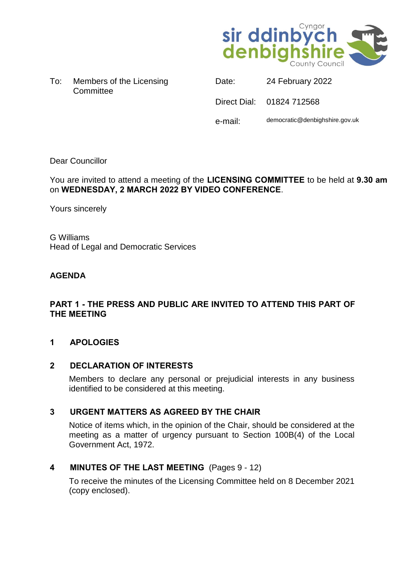

To: Members of the Licensing **Committee** 

Date: 24 February 2022 Direct Dial: 01824 712568 e-mail: democratic@denbighshire.gov.uk

# Dear Councillor

You are invited to attend a meeting of the **LICENSING COMMITTEE** to be held at **9.30 am** on **WEDNESDAY, 2 MARCH 2022 BY VIDEO CONFERENCE**.

Yours sincerely

G Williams Head of Legal and Democratic Services

# **AGENDA**

# **PART 1 - THE PRESS AND PUBLIC ARE INVITED TO ATTEND THIS PART OF THE MEETING**

# **1 APOLOGIES**

# **2 DECLARATION OF INTERESTS**

Members to declare any personal or prejudicial interests in any business identified to be considered at this meeting.

# **3 URGENT MATTERS AS AGREED BY THE CHAIR**

Notice of items which, in the opinion of the Chair, should be considered at the meeting as a matter of urgency pursuant to Section 100B(4) of the Local Government Act, 1972.

# **4 MINUTES OF THE LAST MEETING** (Pages 9 - 12)

To receive the minutes of the Licensing Committee held on 8 December 2021 (copy enclosed).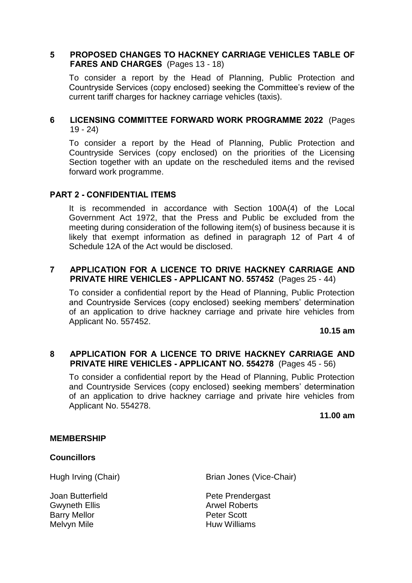# **5 PROPOSED CHANGES TO HACKNEY CARRIAGE VEHICLES TABLE OF FARES AND CHARGES** (Pages 13 - 18)

To consider a report by the Head of Planning, Public Protection and Countryside Services (copy enclosed) seeking the Committee's review of the current tariff charges for hackney carriage vehicles (taxis).

# **6 LICENSING COMMITTEE FORWARD WORK PROGRAMME 2022** (Pages 19 - 24)

To consider a report by the Head of Planning, Public Protection and Countryside Services (copy enclosed) on the priorities of the Licensing Section together with an update on the rescheduled items and the revised forward work programme.

# **PART 2 - CONFIDENTIAL ITEMS**

It is recommended in accordance with Section 100A(4) of the Local Government Act 1972, that the Press and Public be excluded from the meeting during consideration of the following item(s) of business because it is likely that exempt information as defined in paragraph 12 of Part 4 of Schedule 12A of the Act would be disclosed.

#### **7 APPLICATION FOR A LICENCE TO DRIVE HACKNEY CARRIAGE AND PRIVATE HIRE VEHICLES - APPLICANT NO. 557452** (Pages 25 - 44)

To consider a confidential report by the Head of Planning, Public Protection and Countryside Services (copy enclosed) seeking members' determination of an application to drive hackney carriage and private hire vehicles from Applicant No. 557452.

**10.15 am**

#### **8 APPLICATION FOR A LICENCE TO DRIVE HACKNEY CARRIAGE AND PRIVATE HIRE VEHICLES - APPLICANT NO. 554278** (Pages 45 - 56)

To consider a confidential report by the Head of Planning, Public Protection and Countryside Services (copy enclosed) seeking members' determination of an application to drive hackney carriage and private hire vehicles from Applicant No. 554278.

**11.00 am**

#### **MEMBERSHIP**

#### **Councillors**

Joan Butterfield Gwyneth Ellis Barry Mellor Melvyn Mile

Hugh Irving (Chair) Brian Jones (Vice-Chair)

Pete Prendergast Arwel Roberts Peter Scott Huw Williams